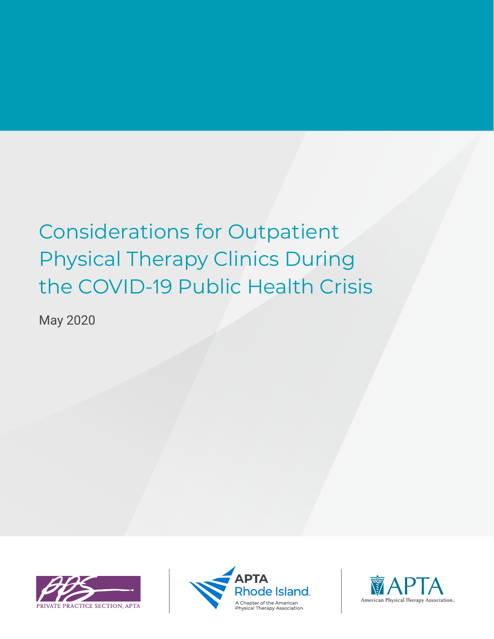# Considerations for Outpatient Physical Therapy Clinics During the COVID-19 Public Health Crisis

May 2020





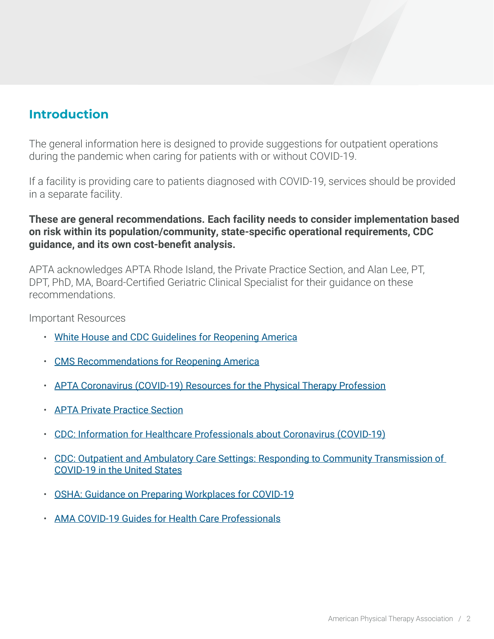# **Introduction**

The general information here is designed to provide suggestions for outpatient operations during the pandemic when caring for patients with or without COVID-19.

If a facility is providing care to patients diagnosed with COVID-19, services should be provided in a separate facility.

### **These are general recommendations. Each facility needs to consider implementation based on risk within its population/community, state-specific operational requirements, CDC guidance, and its own cost-benefit analysis.**

APTA acknowledges APTA Rhode Island, the Private Practice Section, and Alan Lee, PT, DPT, PhD, MA, Board-Certified Geriatric Clinical Specialist for their guidance on these recommendations.

Important Resources

- [White House and CDC Guidelines for Reopening America](https://www.whitehouse.gov/openingamerica/)
- [CMS Recommendations for Reopening America](https://www.cms.gov/files/document/covid-flexibility-reopen-essential-non-covid-services.pdf)
- [APTA Coronavirus \(COVID-19\) Resources for the Physical Therapy Profession](http://www.apta.org/Coronavirus/)
- [APTA Private Practice Section](https://ppsapta.org)
- [CDC: Information for Healthcare Professionals about Coronavirus \(COVID-19\)](https://www.cdc.gov/coronavirus/2019-nCoV/hcp/index.html)
- [CDC: Outpatient and Ambulatory Care Settings: Responding to Community Transmission of](https://www.cdc.gov/coronavirus/2019-ncov/hcp/ambulatory-care-settings.html)  [COVID-19 in the United States](https://www.cdc.gov/coronavirus/2019-ncov/hcp/ambulatory-care-settings.html)
- [OSHA: Guidance on Preparing Workplaces for COVID-19](https://www.osha.gov/Publications/OSHA3990.pdf)
- [AMA COVID-19 Guides for Health Care Professionals](https://www.ama-assn.org/delivering-care/public-health/ama-covid-19-guides-health-care-professionals)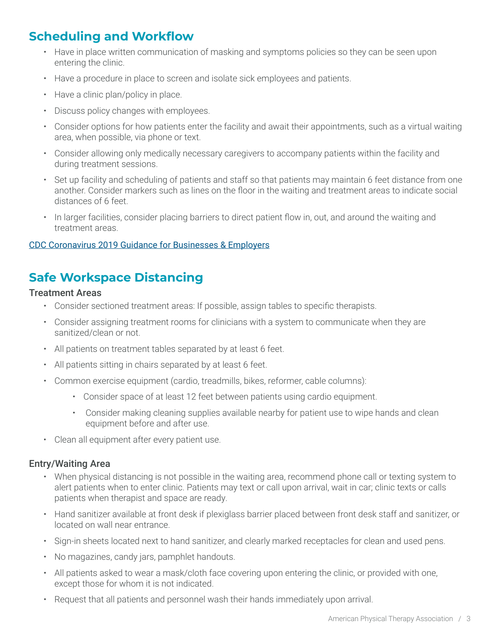## **Scheduling and Workflow**

- Have in place written communication of masking and symptoms policies so they can be seen upon entering the clinic.
- Have a procedure in place to screen and isolate sick employees and patients.
- Have a clinic plan/policy in place.
- Discuss policy changes with employees.
- Consider options for how patients enter the facility and await their appointments, such as a virtual waiting area, when possible, via phone or text.
- Consider allowing only medically necessary caregivers to accompany patients within the facility and during treatment sessions.
- Set up facility and scheduling of patients and staff so that patients may maintain 6 feet distance from one another. Consider markers such as lines on the floor in the waiting and treatment areas to indicate social distances of 6 feet.
- In larger facilities, consider placing barriers to direct patient flow in, out, and around the waiting and treatment areas.

#### [CDC Coronavirus 2019 Guidance for Businesses & Employers](https://www.cdc.gov/coronavirus/2019-ncov/community/guidance-business-response.html)

## **Safe Workspace Distancing**

#### Treatment Areas

- Consider sectioned treatment areas: If possible, assign tables to specific therapists.
- Consider assigning treatment rooms for clinicians with a system to communicate when they are sanitized/clean or not.
- All patients on treatment tables separated by at least 6 feet.
- All patients sitting in chairs separated by at least 6 feet.
- Common exercise equipment (cardio, treadmills, bikes, reformer, cable columns):
	- Consider space of at least 12 feet between patients using cardio equipment.
	- Consider making cleaning supplies available nearby for patient use to wipe hands and clean equipment before and after use.
- Clean all equipment after every patient use.

#### Entry/Waiting Area

- When physical distancing is not possible in the waiting area, recommend phone call or texting system to alert patients when to enter clinic. Patients may text or call upon arrival, wait in car; clinic texts or calls patients when therapist and space are ready.
- Hand sanitizer available at front desk if plexiglass barrier placed between front desk staff and sanitizer, or located on wall near entrance.
- Sign-in sheets located next to hand sanitizer, and clearly marked receptacles for clean and used pens.
- No magazines, candy jars, pamphlet handouts.
- All patients asked to wear a mask/cloth face covering upon entering the clinic, or provided with one, except those for whom it is not indicated.
- Request that all patients and personnel wash their hands immediately upon arrival.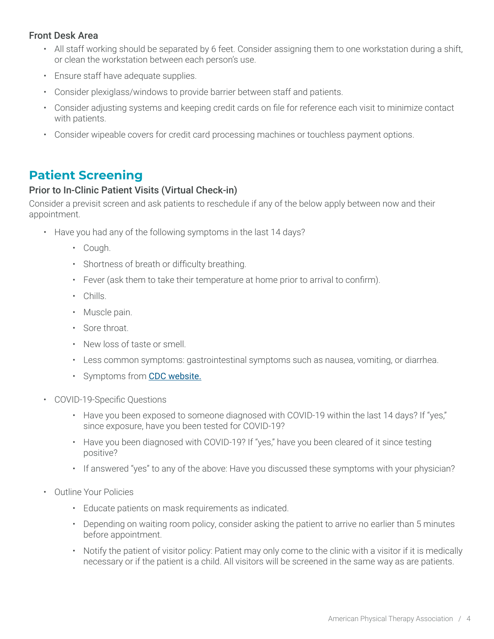### Front Desk Area

- All staff working should be separated by 6 feet. Consider assigning them to one workstation during a shift, or clean the workstation between each person's use.
- Ensure staff have adequate supplies.
- Consider plexiglass/windows to provide barrier between staff and patients.
- Consider adjusting systems and keeping credit cards on file for reference each visit to minimize contact with patients.
- Consider wipeable covers for credit card processing machines or touchless payment options.

### **Patient Screening**

#### Prior to In-Clinic Patient Visits (Virtual Check-in)

Consider a previsit screen and ask patients to reschedule if any of the below apply between now and their appointment.

- Have you had any of the following symptoms in the last 14 days?
	- Cough.
	- Shortness of breath or difficulty breathing.
	- Fever (ask them to take their temperature at home prior to arrival to confirm).
	- Chills.
	- Muscle pain.
	- Sore throat.
	- New loss of taste or smell.
	- Less common symptoms: gastrointestinal symptoms such as nausea, vomiting, or diarrhea.
	- Symptoms from [CDC website.](https://www.cdc.gov/coronavirus/2019-ncov/symptoms-testing/symptoms.html)
- COVID-19-Specific Questions
	- Have you been exposed to someone diagnosed with COVID-19 within the last 14 days? If "yes," since exposure, have you been tested for COVID-19?
	- Have you been diagnosed with COVID-19? If "yes," have you been cleared of it since testing positive?
	- If answered "yes" to any of the above: Have you discussed these symptoms with your physician?
- Outline Your Policies
	- Educate patients on mask requirements as indicated.
	- Depending on waiting room policy, consider asking the patient to arrive no earlier than 5 minutes before appointment.
	- Notify the patient of visitor policy: Patient may only come to the clinic with a visitor if it is medically necessary or if the patient is a child. All visitors will be screened in the same way as are patients.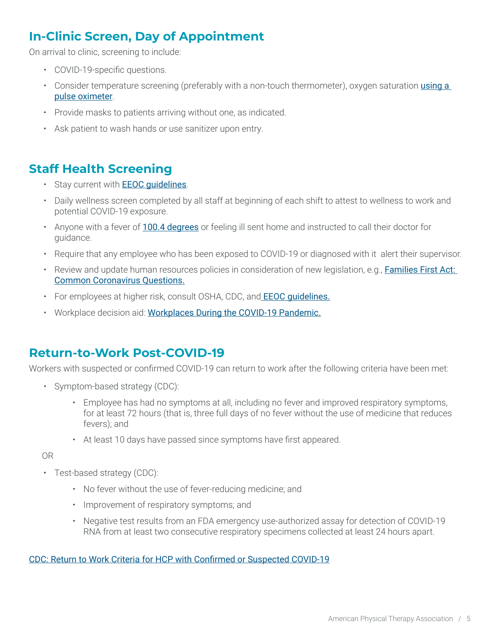# **In-Clinic Screen, Day of Appointment**

On arrival to clinic, screening to include:

- COVID-19-specific questions.
- Consider temperature screening (preferably with a non-touch thermometer), oxygen saturation using a [pulse oximeter](https://search.proquest.com/pubidlinkhandler/sng/pubtitle/BMJ+Best+Practice/$N/4686279/DocView/2387425081/fulltext/439D2A62FDA44ECCPQ/3?accountid=41004).
- Provide masks to patients arriving without one, as indicated.
- Ask patient to wash hands or use sanitizer upon entry.

### **Staff Health Screening**

- Stay current with **EEOC quidelines**.
- Daily wellness screen completed by all staff at beginning of each shift to attest to wellness to work and potential COVID-19 exposure.
- Anyone with a fever of [100.4 degrees](https://www.cdc.gov/coronavirus/2019-ncov/downloads/COVID-19_CAREKit_ENG.pdf) or feeling ill sent home and instructed to call their doctor for guidance.
- Require that any employee who has been exposed to COVID-19 or diagnosed with it alert their supervisor.
- Review and update human resources policies in consideration of new legislation, e.g., [Families First Act:](https://www.dol.gov/agencies/whd/pandemic/ffcra-questions)  [Common Coronavirus Questions](https://www.dol.gov/agencies/whd/pandemic/ffcra-questions).
- For employees at higher risk, consult OSHA, CDC, and **EEOC guidelines.**
- Workplace decision aid: [Workplaces During the COVID-19 Pandemic.](file:///C:\Users\jasonbellamy\Desktop\Reports\●%09https:\www.cdc.gov\coronavirus\2019-ncov\downloads\community\workplace-decision-tree.pdf)

### **Return-to-Work Post-COVID-19**

Workers with suspected or confirmed COVID-19 can return to work after the following criteria have been met:

- Symptom-based strategy (CDC):
	- Employee has had no symptoms at all, including no fever and improved respiratory symptoms, for at least 72 hours (that is, three full days of no fever without the use of medicine that reduces fevers); and
	- At least 10 days have passed since symptoms have first appeared.

OR

- Test-based strategy (CDC):
	- No fever without the use of fever-reducing medicine; and
	- Improvement of respiratory symptoms; and
	- Negative test results from an FDA emergency use-authorized assay for detection of COVID-19 RNA from at least two consecutive respiratory specimens collected at least 24 hours apart.

[CDC: Return to Work Criteria for HCP with Confirmed or Suspected COVID-19](https://www.cdc.gov/coronavirus/2019-ncov/hcp/return-to-work.html?CDC_AA_refVal=https%3A%2F%2Fwww.cdc.gov%2Fcoronavirus%2F2019-ncov%2Fhealthcare-facilities%2Fhcp-return-work.html)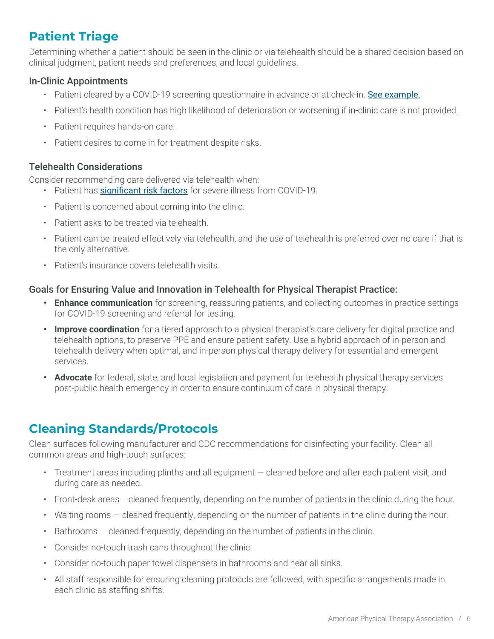# **Patient Triage**

Determining whether a patient should be seen in the clinic or via telehealth should be a shared decision based on clinical judgment, patient needs and preferences, and local guidelines.

### In-Clinic Appointments

- Patient cleared by a COVID-19 screening questionnaire in advance or at check-in. [See example.](https://cdn.perioimplantadvisory.com/files/base/ebm/pia/document/2020/05/Dental_Patient_Screening_Checklist.5ebaac92253ed.pdf)
- Patient's health condition has high likelihood of deterioration or worsening if in-clinic care is not provided.
- Patient requires hands-on care.
- Patient desires to come in for treatment despite risks.

### Telehealth Considerations

Consider recommending care delivered via telehealth when:

- Patient has [significant risk factors](https://www.cdc.gov/coronavirus/2019-ncov/need-extra-precautions/people-at-higher-risk.html) for severe illness from COVID-19.
- Patient is concerned about coming into the clinic.
- Patient asks to be treated via telehealth.
- Patient can be treated effectively via telehealth, and the use of telehealth is preferred over no care if that is the only alternative.
- Patient's insurance covers telehealth visits.

### Goals for Ensuring Value and Innovation in Telehealth for Physical Therapist Practice:

- **• Enhance communication** for screening, reassuring patients, and collecting outcomes in practice settings for COVID-19 screening and referral for testing.
- **• Improve coordination** for a tiered approach to a physical therapist's care delivery for digital practice and telehealth options, to preserve PPE and ensure patient safety. Use a hybrid approach of in-person and telehealth delivery when optimal, and in-person physical therapy delivery for essential and emergent services.
- **• Advocate** for federal, state, and local legislation and payment for telehealth physical therapy services post-public health emergency in order to ensure continuum of care in physical therapy.

# **Cleaning Standards/Protocols**

Clean surfaces following manufacturer and CDC recommendations for [disinfecting your facility.](https://www.cdc.gov/coronavirus/2019-ncov/community/disinfecting-building-facility.html) Clean all common areas and high-touch surfaces:

- Treatment areas including plinths and all equipment cleaned before and after each patient visit, and during care as needed.
- Front-desk areas —cleaned frequently, depending on the number of patients in the clinic during the hour.
- Waiting rooms cleaned frequently, depending on the number of patients in the clinic during the hour.
- Bathrooms cleaned frequently, depending on the number of patients in the clinic.
- Consider no-touch trash cans throughout the clinic.
- Consider no-touch paper towel dispensers in bathrooms and near all sinks.
- All staff responsible for ensuring cleaning protocols are followed, with specific arrangements made in each clinic as staffing shifts.